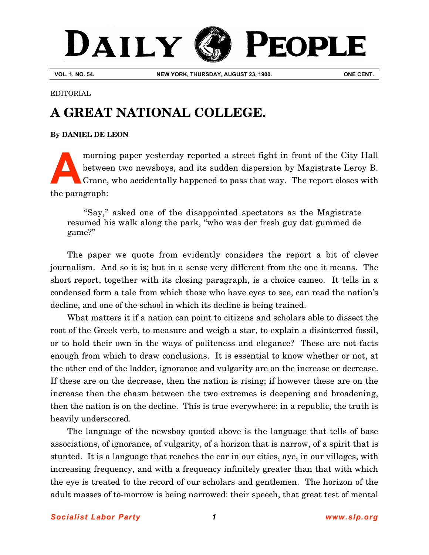## DAILY PEOPLE

**VOL. 1, NO. 54. NEW YORK, THURSDAY, AUGUST 23, 1900. ONE CENT.**

EDITORIAL

## **A GREAT NATIONAL COLLEGE.**

## **[By DANIEL DE LEON](http://www.slp.org/De_Leon.htm)**

morning paper yesterday reported a street fight in front of the City Hall between two newsboys, and its sudden dispersion by Magistrate Leroy B. Crane, who accidentally happened to pass that way. The report closes with the paragraph: **A**

"Say," asked one of the disappointed spectators as the Magistrate resumed his walk along the park, "who was der fresh guy dat gummed de game?"

The paper we quote from evidently considers the report a bit of clever journalism. And so it is; but in a sense very different from the one it means. The short report, together with its closing paragraph, is a choice cameo. It tells in a condensed form a tale from which those who have eyes to see, can read the nation's decline, and one of the school in which its decline is being trained.

What matters it if a nation can point to citizens and scholars able to dissect the root of the Greek verb, to measure and weigh a star, to explain a disinterred fossil, or to hold their own in the ways of politeness and elegance? These are not facts enough from which to draw conclusions. It is essential to know whether or not, at the other end of the ladder, ignorance and vulgarity are on the increase or decrease. If these are on the decrease, then the nation is rising; if however these are on the increase then the chasm between the two extremes is deepening and broadening, then the nation is on the decline. This is true everywhere: in a republic, the truth is heavily underscored.

The language of the newsboy quoted above is the language that tells of base associations, of ignorance, of vulgarity, of a horizon that is narrow, of a spirit that is stunted. It is a language that reaches the ear in our cities, aye, in our villages, with increasing frequency, and with a frequency infinitely greater than that with which the eye is treated to the record of our scholars and gentlemen. The horizon of the adult masses of to-morrow is being narrowed: their speech, that great test of mental